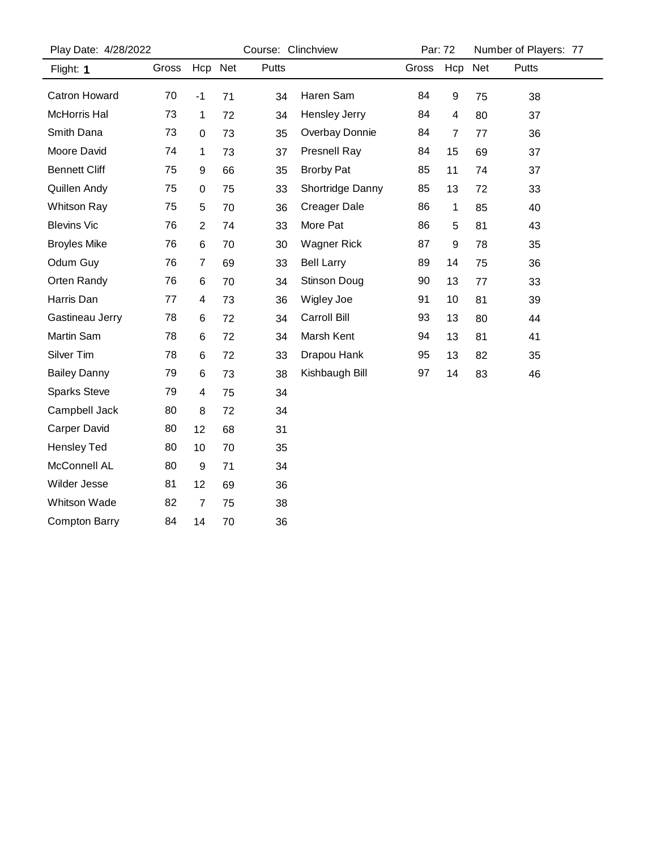| Play Date: 4/28/2022 |       | Course: Clinchview      |    |              | Par: 72              |       | Number of Players: 77 |    |       |
|----------------------|-------|-------------------------|----|--------------|----------------------|-------|-----------------------|----|-------|
| Flight: 1            | Gross | Hcp Net                 |    | <b>Putts</b> |                      | Gross | Hcp Net               |    | Putts |
| Catron Howard        | 70    | $-1$                    | 71 | 34           | Haren Sam            | 84    | 9                     | 75 | 38    |
| <b>McHorris Hal</b>  | 73    | $\mathbf 1$             | 72 | 34           | <b>Hensley Jerry</b> | 84    | 4                     | 80 | 37    |
| Smith Dana           | 73    | 0                       | 73 | 35           | Overbay Donnie       | 84    | 7                     | 77 | 36    |
| Moore David          | 74    | 1                       | 73 | 37           | <b>Presnell Ray</b>  | 84    | 15                    | 69 | 37    |
| <b>Bennett Cliff</b> | 75    | 9                       | 66 | 35           | <b>Brorby Pat</b>    | 85    | 11                    | 74 | 37    |
| Quillen Andy         | 75    | 0                       | 75 | 33           | Shortridge Danny     | 85    | 13                    | 72 | 33    |
| <b>Whitson Ray</b>   | 75    | 5                       | 70 | 36           | <b>Creager Dale</b>  | 86    | 1                     | 85 | 40    |
| <b>Blevins Vic</b>   | 76    | $\overline{2}$          | 74 | 33           | More Pat             | 86    | 5                     | 81 | 43    |
| <b>Broyles Mike</b>  | 76    | 6                       | 70 | 30           | <b>Wagner Rick</b>   | 87    | $\boldsymbol{9}$      | 78 | 35    |
| Odum Guy             | 76    | $\overline{7}$          | 69 | 33           | <b>Bell Larry</b>    | 89    | 14                    | 75 | 36    |
| Orten Randy          | 76    | 6                       | 70 | 34           | Stinson Doug         | 90    | 13                    | 77 | 33    |
| Harris Dan           | 77    | $\overline{\mathbf{4}}$ | 73 | 36           | Wigley Joe           | 91    | 10                    | 81 | 39    |
| Gastineau Jerry      | 78    | 6                       | 72 | 34           | Carroll Bill         | 93    | 13                    | 80 | 44    |
| Martin Sam           | 78    | 6                       | 72 | 34           | Marsh Kent           | 94    | 13                    | 81 | 41    |
| Silver Tim           | 78    | 6                       | 72 | 33           | Drapou Hank          | 95    | 13                    | 82 | 35    |
| <b>Bailey Danny</b>  | 79    | 6                       | 73 | 38           | Kishbaugh Bill       | 97    | 14                    | 83 | 46    |
| <b>Sparks Steve</b>  | 79    | $\overline{\mathbf{4}}$ | 75 | 34           |                      |       |                       |    |       |
| Campbell Jack        | 80    | 8                       | 72 | 34           |                      |       |                       |    |       |
| <b>Carper David</b>  | 80    | 12                      | 68 | 31           |                      |       |                       |    |       |
| <b>Hensley Ted</b>   | 80    | 10                      | 70 | 35           |                      |       |                       |    |       |
| McConnell AL         | 80    | $\boldsymbol{9}$        | 71 | 34           |                      |       |                       |    |       |
| Wilder Jesse         | 81    | 12                      | 69 | 36           |                      |       |                       |    |       |
| <b>Whitson Wade</b>  | 82    | $\overline{7}$          | 75 | 38           |                      |       |                       |    |       |
| <b>Compton Barry</b> | 84    | 14                      | 70 | 36           |                      |       |                       |    |       |